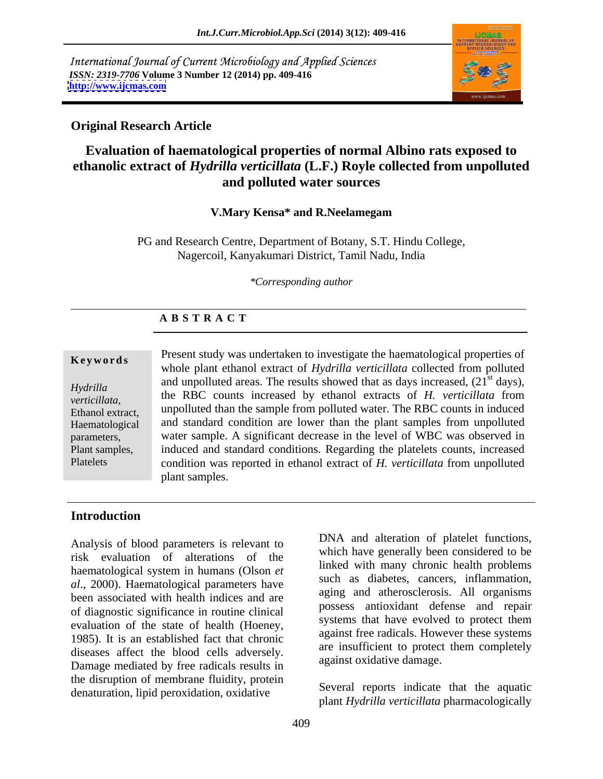International Journal of Current Microbiology and Applied Sciences *ISSN: 2319-7706* **Volume 3 Number 12 (2014) pp. 409-416 <http://www.ijcmas.com>**



## **Original Research Article**

# **Evaluation of haematological properties of normal Albino rats exposed to ethanolic extract of** *Hydrilla verticillata* **(L.F.) Royle collected from unpolluted and polluted water sources**

### **V.Mary Kensa\* and R.Neelamegam**

PG and Research Centre, Department of Botany, S.T. Hindu College, Nagercoil, Kanyakumari District, Tamil Nadu, India

*\*Corresponding author* 

### **A B S T R A C T**

**Keywords**<br>
whole plant ethanol extract of *Hydrilla verticillata* collected from polluted *Hydrilla* and unpolluted areas. The results showed that as days increased, (21 days), *verticillata,*  the RBC counts increased by ethanol extracts of *H. verticillata* from Ethanol extract, unpolluted than the sample from polluted water. The RBC counts in induced Haematological and standard condition are lower than the plant samples from unpolluted parameters, water sample. A significant decrease in the level of WBC was observed in Plant samples, induced and standard conditions. Regarding the platelets counts, increased Platelets condition was reported in ethanol extract of *H. verticillata* from unpolluted Present study was undertaken to investigate the haematological properties of and unpolluted areas. The results showed that as days increased,  $(21<sup>st</sup> \text{ days})$ ,  $\delta$ <sup>st</sup> days), plant samples.

# **Introduction**

Analysis of blood parameters is relevant to risk evaluation of alterations of the haematological system in humans (Olson *et al*., 2000). Haematological parameters have been associated with health indices and are of diagnostic significance in routine clinical evaluation of the state of health (Hoeney, 1985). It is an established fact that chronic diseases affect the blood cells adversely. Damage mediated by free radicals results in the disruption of membrane fluidity, protein denaturation, lipid peroxidation, oxidative

DNA and alteration of platelet functions, which have generally been considered to be linked with many chronic health problems such as diabetes, cancers, inflammation, aging and atherosclerosis. All organisms possess antioxidant defense and repair systems that have evolved to protect them against free radicals. However these systems are insufficient to protect them completely against oxidative damage.

Several reports indicate that the aquatic plant *Hydrilla verticillata* pharmacologically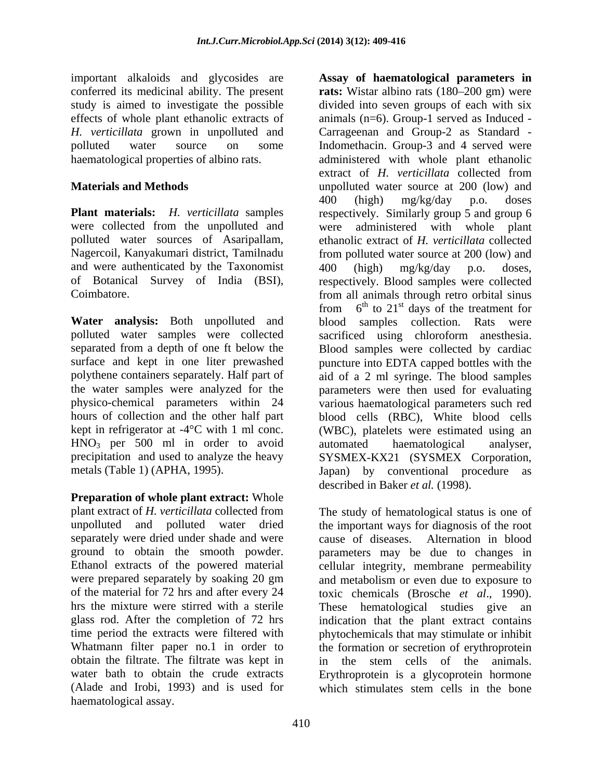important alkaloids and glycosides are study is aimed to investigate the possible effects of whole plant ethanolic extracts of

and were authenticated by the Taxonomist  $400$  (high) mg/kg/day p.o. doses, of Botanical Survey of India (BSI),

HNO<sub>3</sub> per 500 ml in order to avoid automated haematological analyser,<br>precipitation and used to analyze the heavy SYSMEX-KX21 (SYSMEX Corporation,

**Preparation of whole plant extract:** Whole separately were dried under shade and were obtain the filtrate. The filtrate was kept in (Alade and Irobi, 1993) and is used for haematological assay.

conferred its medicinal ability. The present **rats:** Wistar albino rats (180–200 gm) were *H. verticillata* grown in unpolluted and Carrageenan and Group-2 as Standard polluted water source on some Indomethacin. Group-3 and 4 served were haematological properties of albino rats. administered with whole plant ethanolic **Materials and Methods Exercise 200 (low)** and **Materials and Methods Plant materials:** *H. verticillata* samples respectively. Similarly group 5 and group 6 were collected from the unpolluted and were administered with whole plant polluted water sources of Asaripallam, ethanolic extract of *H. verticillata* collected Nagercoil, Kanyakumari district, Tamilnadu from polluted water source at 200 (low) and Coimbatore. from all animals through retro orbital sinus **Water analysis:** Both unpolluted and blood samples collection. Rats were polluted water samples were collected sacrificed using chloroform anesthesia. separated from a depth of one ft below the Blood samples were collected by cardiac surface and kept in one liter prewashed puncture into EDTA capped bottles with the polythene containers separately. Half part of aid of a 2 ml syringe. The blood samples the water samples were analyzed for the parameters were then used for evaluating physico-chemical parameters within 24 various haematological parameters such red hours of collection and the other half part blood cells (RBC), White blood cells kept in refrigerator at -4<sup>o</sup>C with 1 ml conc. (WBC), platelets were estimated using an precipitation and used to analyze the heavy SYSMEX-KX21 (SYSMEX Corporation, metals (Table 1) (APHA, 1995). Japan) by conventional procedure as **Assay of haematological parameters in** divided into seven groups of each with six animals (n=6). Group-1 served as Induced extract of *H. verticillata* collected from 400 (high) mg/kg/day p.o. doses 400 (high) mg/kg/day p.o. doses, respectively. Blood samples were collected from  $6^{\text{th}}$  to  $21^{\text{st}}$  days of the treatment for  $^{th}$  to 21<sup>st</sup> days of the treatment for automated haematological analyser, described in Baker *et al.* (1998).

plant extract of *H. verticillata* collected from The study of hematological status is one of unpolluted and polluted water dried the important ways for diagnosis of the root ground to obtain the smooth powder. parameters may be due to changes in Ethanol extracts of the powered material cellular integrity, membrane permeability were prepared separately by soaking 20 gm and metabolism or even due to exposure to of the material for 72 hrs and after every 24 toxic chemicals (Brosche *et al*., 1990). hrs the mixture were stirred with a sterile These hematological studies give an glass rod. After the completion of 72 hrs indication that the plant extract contains time period the extracts were filtered with phytochemicals that may stimulate or inhibit Whatmann filter paper no.1 in order to the formation or secretion of erythroprotein water bath to obtain the crude extracts Erythroprotein is a glycoprotein hormone cause of diseases. Alternation in blood in the stem cells of the animals. which stimulates stem cells in the bone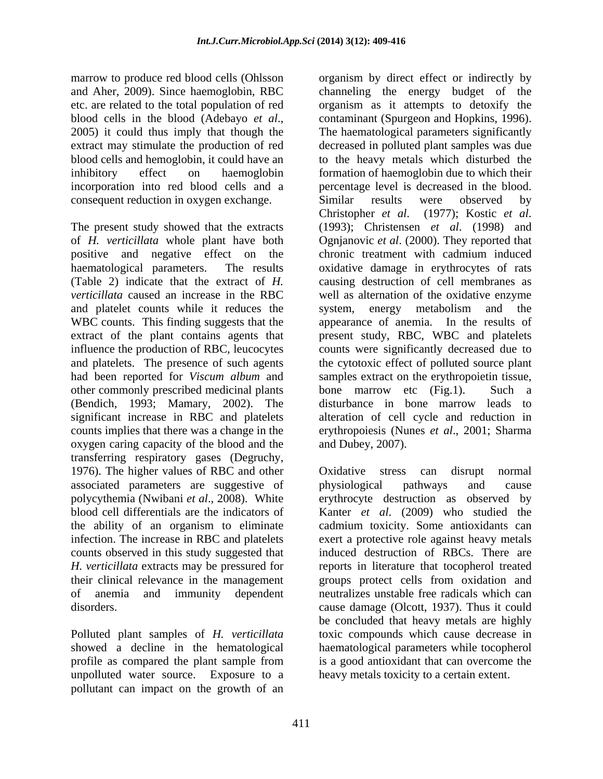marrow to produce red blood cells (Ohlsson organism by direct effect or indirectly by consequent reduction in oxygen exchange. Similar results were observed by

The present study showed that the extracts (1993); Christensen et al. (1998) and and platelet counts while it reduces the system, energy metabolism and the WBC counts. This finding suggests that the other commonly prescribed medicinal plants bone marrow etc (Fig.1). Such a (Bendich, 1993; Mamary, 2002). The oxygen caring capacity of the blood and the transferring respiratory gases (Degruchy, 1976). The higher values of RBC and other Cxidative stress can disrupt normal associated parameters are suggestive of physiological pathways and cause polycythemia (Nwibani et al., 2008). White erythrocyte destruction as observed by infection. The increase in RBC and platelets

Polluted plant samples of *H. verticillata* unpolluted water source. Exposure to a pollutant can impact on the growth of an

and Aher, 2009). Since haemoglobin, RBC channeling the energy budget of the etc. are related to the total population of red organism as it attempts to detoxify the blood cells in the blood (Adebayo *et al.*, contaminant (Spurgeon and Hopkins, 1996).<br>2005) it could thus imply that though the The haematological parameters significantly extract may stimulate the production of red decreased in polluted plant samples was due blood cells and hemoglobin, it could have an to the heavy metals which disturbed the inhibitory effect on haemoglobin formation of haemoglobin due to which their incorporation into red blood cells and a percentage level is decreased in the blood. of *H. verticillata* whole plant have both Ognjanovic *et al*. (2000). They reported that positive and negative effect on the chronic treatment with cadmium induced haematological parameters. The results oxidative damage in erythrocytes of rats (Table 2) indicate that the extract of *H.*  causing destruction of cell membranes as *verticillata* caused an increase in the RBC well as alternation of the oxidative enzyme extract of the plant contains agents that present study, RBC, WBC and platelets influence the production of RBC, leucocytes counts were significantly decreased due to and platelets. The presence of such agents the cytotoxic effect of polluted source plant had been reported for *Viscum album* and samples extract on the erythropoietin tissue, significant increase in RBC and platelets alteration of cell cycle and reduction in counts implies that there was a change in the erythropoiesis (Nunes *et al*., 2001; Sharma contaminant (Spurgeon and Hopkins, 1996). The haematological parameters significantly Similar results were observed by Christopher *et al*. (1977); Kostic *et al*. (1993); Christensen *et al*. (1998) and system, energy metabolism and the appearance of anemia. In the results of bone marrow etc (Fig.1). Such a disturbance in bone marrow leads to and Dubey, 2007).

polycythemia (Nwibani *et al*., 2008). White erythrocyte destruction as observed by blood cell differentials are the indicators of Kanter *et al*. (2009) who studied the the ability of an organism to eliminate cadmium toxicity. Some antioxidants can counts observed in this study suggested that induced destruction of RBCs. There are *H. verticillata* extracts may be pressured for reports in literature that tocopherol treated their clinical relevance in the management groups protect cells from oxidation and of anemia and immunity dependent neutralizes unstable free radicals which can disorders. cause damage (Olcott, 1937). Thus it could showed a decline in the hematological haematological parameters while tocopherol profile as compared the plant sample from is a good antioxidant that can overcome the Oxidative stress can disrupt normal physiological pathways and cause exert a protective role against heavy metals be concluded that heavy metals are highly toxic compounds which cause decrease in is a good antioxidant that can overcome the heavy metals toxicity to a certain extent.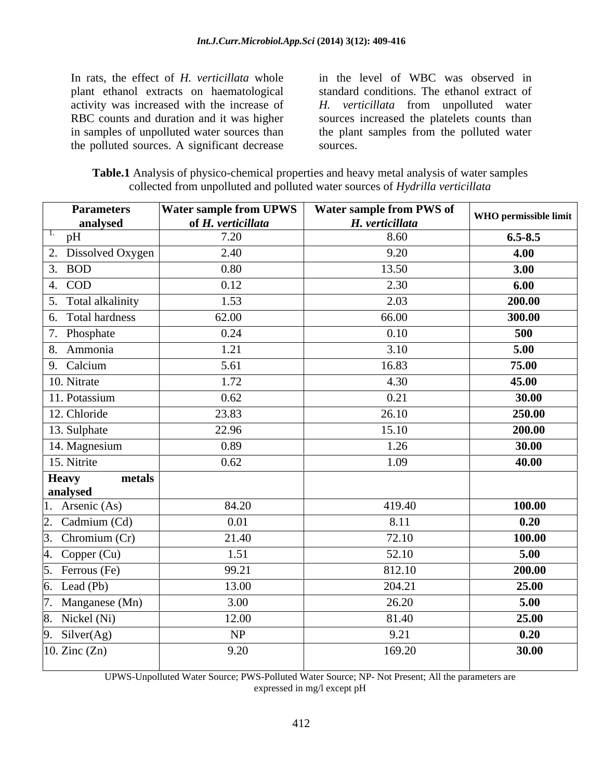In rats, the effect of *H. verticillata* whole plant ethanol extracts on haematological activity was increased with the increase of *H. verticillata* from unpolluted water RBC counts and duration and it was higher sources increased the platelets counts than in samples of unpolluted water sources than the plant samples from the polluted water the polluted sources. A significant decrease

in the level of WBC was observed in standard conditions. The ethanol extract of sources.

**Table.1** Analysis of physico-chemical properties and heavy metal analysis of water samples collected from unpolluted and polluted water sources of *Hydrilla verticillata*

| <b>Parameters</b><br>analysed | <b>Water sample from UPWS</b><br>of H. verticillata | Water sample from PWS of<br>H. verticillata | WHO permissible limit |
|-------------------------------|-----------------------------------------------------|---------------------------------------------|-----------------------|
| pH                            | 7.20                                                | 8.60                                        | $6.5 - 8.5$           |
| 2. Dissolved Oxygen           | 2.40                                                | 9.20                                        | 4.00                  |
| 3. BOD                        | 0.80                                                | 13.50                                       | 3.00                  |
| 4. COD                        | 0.12                                                | 2.30                                        | 6.00                  |
| 5. Total alkalinity           | 1.53                                                | 2.03                                        | 200.00                |
| 6. Total hardness             | 62.00                                               | 66.00                                       | 300.00                |
| 7. Phosphate                  | 0.24                                                | 0.10                                        | 500                   |
| 8. Ammonia                    | 1.21                                                | 3.10                                        | 5.00                  |
| 9. Calcium                    | 5.61                                                | 16.83                                       | 75.00                 |
| 10. Nitrate                   | 1.72                                                | 4.30                                        | 45.00                 |
| 11. Potassium                 | 0.62                                                | 0.21                                        | 30.00                 |
| 12. Chloride                  | 23.83                                               | 26.10                                       | 250.00                |
| 13. Sulphate                  | 22.96                                               | 15.10                                       | 200.00                |
| 14. Magnesium                 | 0.89                                                | 1.26                                        | 30.00                 |
| 15. Nitrite                   | 0.62                                                | 1.09                                        | 40.00                 |
| Heavy<br>metals<br>analysed   |                                                     |                                             |                       |
| Arsenic (As)                  | 84.20                                               | 419.40                                      | 100.00                |
| Cadmium (Cd)                  | 0.01                                                | 8.11                                        | 0.20                  |
| Chromium (Cr)                 | 21.40                                               | 72.10                                       | 100.00                |
| Copper (Cu)                   | 1.51                                                | 52.10                                       | 5.00                  |
| Ferrous (Fe)                  | 99.21                                               | 812.10                                      | 200.00                |
| Lead (Pb)                     | 13.00                                               | 204.21                                      | 25.00                 |
| Manganese (Mn)                | 3.00                                                | 26.20                                       | 5.00                  |
| Nickel (Ni)                   | 12.00                                               | 81.40                                       | 25.00                 |
| Silver(Ag)<br>Q               | NP                                                  | 9.21                                        | 0.20                  |
| 10. Zinc $(Zn)$               | 9.20                                                | 169.20                                      | 30.00                 |

UPWS-Unpolluted Water Source; PWS-Polluted Water Source; NP- Not Present; All the parameters are expressed in mg/l except pH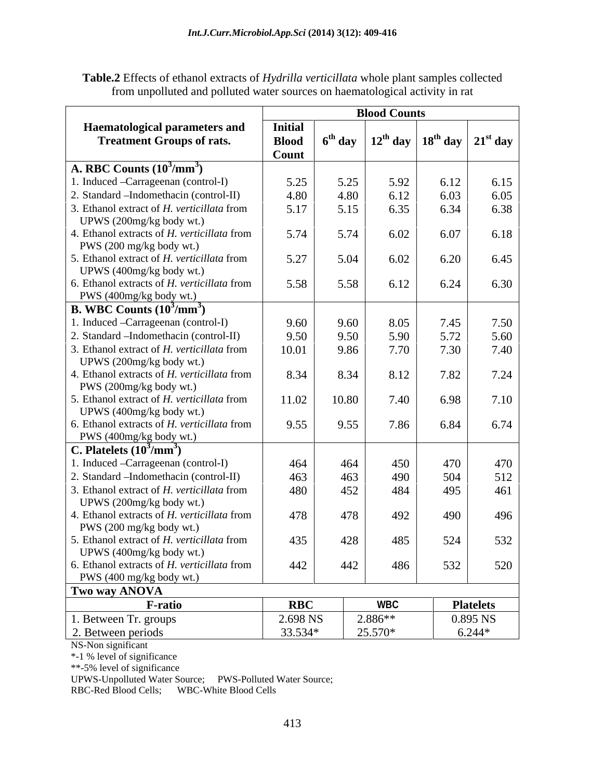| Table.<br>$\cdot$ 11<br>77<br>collected<br>$\mathbf{W}$<br>$\ldots$ varille $\ldots$<br>sample<br>etha <sup>,</sup><br>ettects.<br>າດເe<br>nlant<br>extrac<br>ОT<br>10rt16<br>$\alpha$ illat $\gamma$<br>ΩĪ<br>шаш<br>. |  |
|-------------------------------------------------------------------------------------------------------------------------------------------------------------------------------------------------------------------------|--|
| ıllıt<br>20109<br>`unpolluted<br>emato<br>$\sim$ n hae $\ldots$<br>actıvıtv<br>in rat<br>$\sim$ Wale.<br><b>SOUTCU</b><br>and<br>rr<br>ገተልተ<br>ם מ<br>$-\Delta$ $\mathbf{C}$<br>U⊓                                      |  |

|                                                                         | <b>Blood Counts</b>            |                  |                                                                         |      |                  |
|-------------------------------------------------------------------------|--------------------------------|------------------|-------------------------------------------------------------------------|------|------------------|
| <b>Haematological parameters and</b>                                    | <b>Initial</b>                 |                  |                                                                         |      |                  |
| <b>Treatment Groups of rats.</b>                                        | <b>Blood</b>                   | $6^{th}$ day $1$ | $\frac{12^{th}}{4}$ day $\frac{18^{th}}{4}$ day $\frac{12^{st}}{3}$ day |      |                  |
|                                                                         | Count                          |                  |                                                                         |      |                  |
| A. RBC Counts $(10^3/\text{mm}^3)$                                      |                                |                  |                                                                         |      |                  |
| 1. Induced -Carrageenan (control-I)                                     | 5.25                           | 5.25             | 5.92                                                                    | 6.12 | 6.15             |
| 2. Standard – Indomethacin (control-II)                                 | 4.80                           | 4.80             | 6.12                                                                    | 6.03 | 6.05             |
| 3. Ethanol extract of H. verticillata from                              | 5.17                           | 5.15             | 6.35                                                                    | 6.34 | 6.38             |
| UPWS (200mg/kg body wt.)                                                |                                |                  |                                                                         |      |                  |
| 4. Ethanol extracts of H. verticillata from                             | 5.74                           | 5.74             | 6.02                                                                    | 6.07 | 6.18             |
| PWS (200 mg/kg body wt.)                                                |                                |                  |                                                                         |      |                  |
| 5. Ethanol extract of H. verticillata from                              | 5.27                           | 5.04             | 6.02                                                                    | 6.20 | 6.45             |
| UPWS (400mg/kg body wt.)                                                |                                |                  |                                                                         |      |                  |
| 6. Ethanol extracts of H. verticillata from                             | 5.58                           | 5.58             | 6.12                                                                    | 6.24 | 6.30             |
| PWS (400mg/kg body wt.)                                                 |                                |                  |                                                                         |      |                  |
| <b>B.</b> WBC Counts $(10^3/\text{mm}^3)$                               |                                |                  |                                                                         |      |                  |
| 1. Induced -Carrageenan (control-I)                                     | 9.60                           | 9.60             | 8.05                                                                    | 7.45 | 7.50             |
| 2. Standard – Indomethacin (control-II)                                 | 9.50                           | 9.50             | 5.90                                                                    | 5.72 | 5.60             |
| 3. Ethanol extract of H. verticillata from                              | 10.01                          | 9.86             | 7.70                                                                    | 7.30 | 7.40             |
| UPWS (200mg/kg body wt.)                                                |                                |                  |                                                                         |      |                  |
| 4. Ethanol extracts of H. verticillata from                             | 8.34                           | 8.34             | 8.12                                                                    | 7.82 | 7.24             |
| PWS (200mg/kg body wt.)                                                 |                                |                  |                                                                         |      |                  |
| 5. Ethanol extract of H. verticillata from                              | 11.02                          | 10.80            | 7.40                                                                    | 6.98 | 7.10             |
| UPWS (400mg/kg body wt.)                                                |                                |                  |                                                                         |      |                  |
| 6. Ethanol extracts of H. verticillata from                             | 9.55                           | 9.55             | 7.86                                                                    | 6.84 | 6.74             |
| PWS (400mg/kg body wt.)                                                 |                                |                  |                                                                         |      |                  |
| C. Platelets $(10^3/\text{mm}^3)$                                       |                                |                  |                                                                         |      |                  |
| . Induced -Carrageenan (control-I)                                      | 464                            | 464              | 450                                                                     | 470  | 470              |
| 2. Standard – Indomethacin (control-II)                                 | 463                            | 463              | 490                                                                     | 504  | 512              |
| 3. Ethanol extract of H. verticillata from                              | 480                            | 452              | 484                                                                     | 495  | 461              |
| UPWS (200mg/kg body wt.)                                                |                                |                  |                                                                         |      |                  |
| 4. Ethanol extracts of H. verticillata from                             | 478                            | 478              | 492                                                                     | 490  | 496              |
| PWS (200 mg/kg body wt.)<br>5. Ethanol extract of H. verticillata from  | 435                            |                  |                                                                         |      |                  |
|                                                                         |                                | 428              | 485                                                                     | 524  | 532              |
| UPWS (400mg/kg body wt.)<br>6. Ethanol extracts of H. verticillata from | 442                            | 442              | 486                                                                     | 532  | 520              |
| PWS (400 mg/kg body wt.)                                                |                                |                  |                                                                         |      |                  |
| Two way ANOVA                                                           |                                |                  |                                                                         |      |                  |
| <b>F-ratio</b>                                                          | <b>RBC</b>                     |                  | <b>WBC</b>                                                              |      | <b>Platelets</b> |
|                                                                         |                                |                  |                                                                         |      |                  |
| 1. Between Tr. groups                                                   | 2.698 NS                       |                  | $2.886**$                                                               |      | 0.895 NS         |
| 2. Between periods                                                      | 33.534*<br>25.570*<br>$6.244*$ |                  |                                                                         |      |                  |

NS-Non significant

\*-1 % level of significance

\*\*-5% level of significance

UPWS-Unpolluted Water Source; PWS-Polluted Water Source;

RBC-Red Blood Cells; WBC-White Blood Cells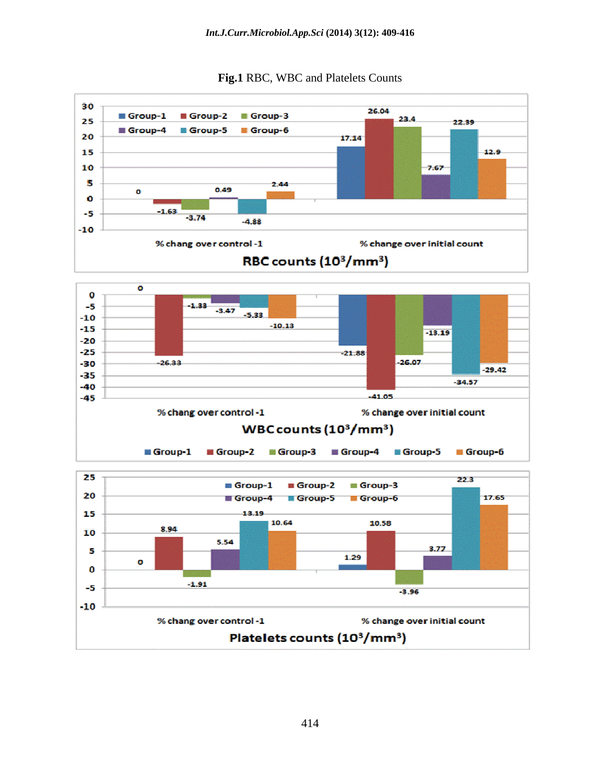

**Fig.1** RBC, WBC and Platelets Counts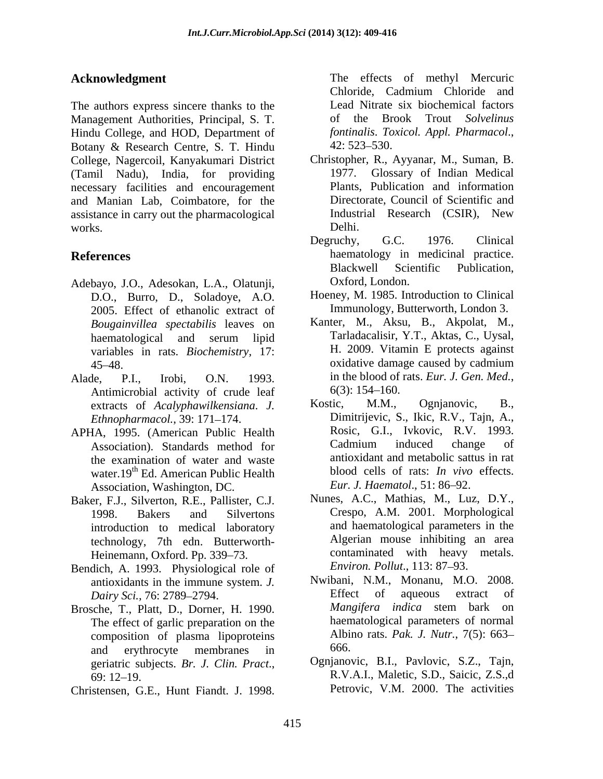The authors express sincere thanks to the Management Authorities, Principal, S. T. of the Brook Trout Solvelinus Hindu College, and HOD, Department of *fontinalis. Toxicol. Appl. Pharmacol.*, Botany & Research Centre, S. T. Hindu 42: 523–530. College, Nagercoil, Kanyakumari District (Tamil Nadu), India, for providing necessary facilities and encouragement and Manian Lab, Coimbatore, for the assistance in carry out the pharmacological Industrial Research (CSIR), New works. Delhi. Acknowledgment<br>
Chlorids, Cadmium Chlorids and Niese is the effects of methods and Niese space<br>
Management Authorities, Pingula, S. If Lead Niese is blockhomical factors<br>
Management Authorities, Pingula, B. I. 1998. The c

- Adebayo, J.O., Adesokan, L.A., Olatunji, D.O., Burro, D., Soladoye, A.O. 2005. Effect of ethanolic extract of *Bougainvillea spectabilis* leaves on variables in rats. *Biochemistry,* 17:
- Antimicrobial activity of crude leaf  $6(3)$ : 154–160.<br>extracts of *Acalynhawilkensiana I* Kostic, M.M., Ognjanovic, B., extracts of *Acalyphawilkensiana*. *J. Ethnopharmacol.*, 39: 171-174.
- APHA, 1995. (American Public Health Rosic, G.I., Ivkovic, R.V. 1993.<br>Association) Standards method for Cadmium induced change of Association). Standards method for the examination of water and waste water.19<sup>th</sup> Ed. American Public Health Association, Washington, DC.
- Baker, F.J., Silverton, R.E., Pallister, C.J. introduction to medical laboratory technology, 7th edn. Butterworth- Heinemann, Oxford. Pp. 339-73.
- Bendich, A. 1993. Physiological role of antioxidants in the immune system. *J.*
- Brosche, T., Platt, D., Dorner, H. 1990. The effect of garlic preparation on the composition of plasma lipoproteins Albii<br>and erythrocyte membranes in 666. and erythrocyte membranes in
- 

**Acknowledgment** The effects of methyl Mercuric Chloride, Cadmium Chloride and Lead Nitrate six biochemical factors of the Brook Trout *Solvelinus fontinalis*. *Toxicol. Appl. Pharmacol*., 42: 523 530.

- Christopher, R., Ayyanar, M., Suman, B. 1977. Glossary of Indian Medical Plants, Publication and information Directorate, Council of Scientific and Industrial Research (CSIR), New Delhi.
- **References** haematology in medicinal practice. Degruchy, G.C. 1976. Clinical Blackwell Scientific Publication, Oxford, London.
	- Hoeney, M. 1985. Introduction to Clinical Immunology, Butterworth, London 3.
- haematological and serum lipid Tarladacalisir, Y.T., Aktas, C., Uysal, 45–48. oxidative damage caused by cadmium Alade, P.I., Irobi, O.N. 1993. in the blood of rats. Eur. J. Gen. Med.,<br>Antimicrobial activity of crude leaf  $6(3)$ : 154–160. Kanter, M., Aksu, B., Akpolat, M., Tarladacalisir, Y.T., Aktas, C., Uysal, H. 2009. Vitamin E protects against oxidative damage caused by cadmium in the blood of rats. *Eur. J. Gen. Med.*,<br>6(3): 154–160.
	- Kostic, M.M., Ognjanovic, B., Dimitrijevic, S., Ikic, R.V., Tajn, A., Rosic, G.I., Ivkovic, R.V. 1993. Cadmium induced change of antioxidant and metabolic sattus in rat blood cells of rats: *In vivo* effects. *Eur. J. Haematol.,* 51: 86–92.
	- 1998. Bakers and Silvertons Crespo, A.M. 2001. Morphological Nunes, A.C., Mathias, M., Luz, D.Y., and haematological parameters in the Algerian mouse inhibiting an area contaminated with heavy metals. *Environ. Pollut., 113: 87-93.*
	- *Dairy Sci.,* 76: 2789–2794.<br>
	Sche T. Platt D. Dorner H. 1990 *Mangifera indica* stem bark on Nwibani, N.M., Monanu, M.O. 2008. Effect of aqueous extract of *Mangifera indica* stem bark on haematological parameters of normal Albino rats. *Pak. J. Nutr.*, 7(5): 663 666.
	- geriatric subjects. *Br. J. Clin. Pract.*, Ognjanovic, B.I., Pavlovic, S.Z., Tajn, 69: 12–19. **R.V.A.I.**, Maletic, S.D., Saicic, Z.S.,d Ognjanovic, B.I., Pavlovic, S.Z., Tajn, R.V.A.I., Maletic, S.D., Saicic, Z.S.,d Petrovic, V.M. 2000. The activities